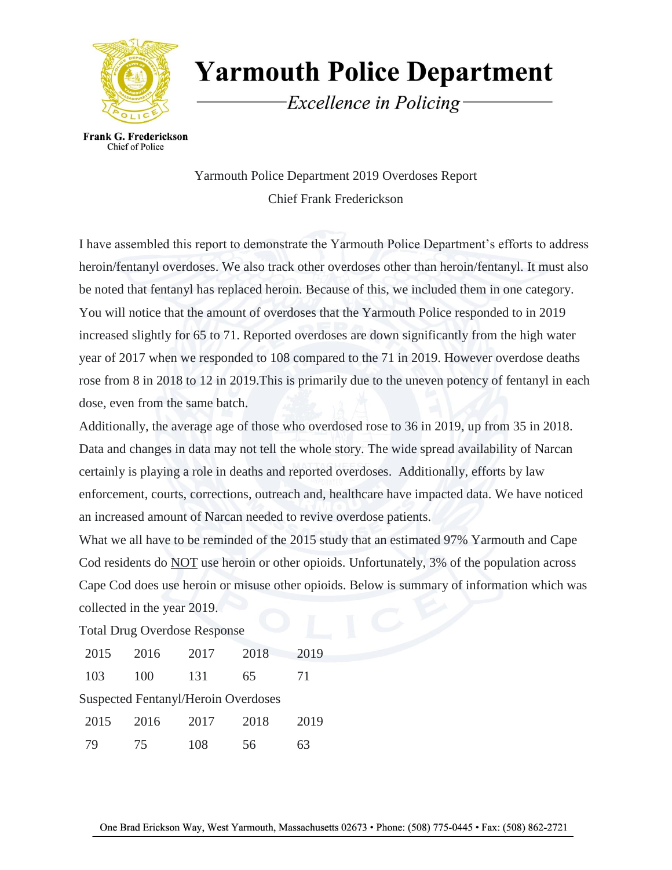

**Yarmouth Police Department** 

Excellence in Policing

**Frank G. Frederickson** Chief of Police

> Yarmouth Police Department 2019 Overdoses Report Chief Frank Frederickson

I have assembled this report to demonstrate the Yarmouth Police Department's efforts to address heroin/fentanyl overdoses. We also track other overdoses other than heroin/fentanyl. It must also be noted that fentanyl has replaced heroin. Because of this, we included them in one category. You will notice that the amount of overdoses that the Yarmouth Police responded to in 2019 increased slightly for 65 to 71. Reported overdoses are down significantly from the high water year of 2017 when we responded to 108 compared to the 71 in 2019. However overdose deaths rose from 8 in 2018 to 12 in 2019.This is primarily due to the uneven potency of fentanyl in each dose, even from the same batch.

Additionally, the average age of those who overdosed rose to 36 in 2019, up from 35 in 2018. Data and changes in data may not tell the whole story. The wide spread availability of Narcan certainly is playing a role in deaths and reported overdoses. Additionally, efforts by law enforcement, courts, corrections, outreach and, healthcare have impacted data. We have noticed an increased amount of Narcan needed to revive overdose patients.

What we all have to be reminded of the 2015 study that an estimated 97% Yarmouth and Cape Cod residents do NOT use heroin or other opioids. Unfortunately, 3% of the population across Cape Cod does use heroin or misuse other opioids. Below is summary of information which was collected in the year 2019.

Total Drug Overdose Response

| 2015                                       | 2016 | 2017 | 2018 | 2019 |  |  |
|--------------------------------------------|------|------|------|------|--|--|
| 103                                        | 100  | 131  | 65   | 71   |  |  |
| <b>Suspected Fentanyl/Heroin Overdoses</b> |      |      |      |      |  |  |
| 2015                                       | 2016 | 2017 | 2018 | 2019 |  |  |
| 79                                         | 75   | 108  | 56   | 63   |  |  |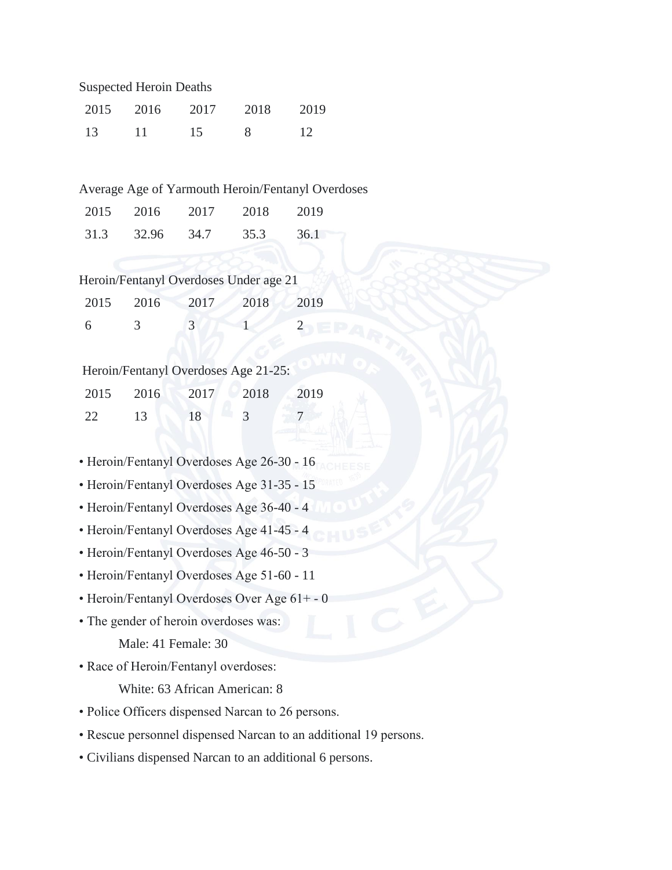Suspected Heroin Deaths

| 2015 | 2016 | 2017 | 2018 | 2019 |
|------|------|------|------|------|
| 13   | 11   | 15   |      | 12   |

Average Age of Yarmouth Heroin/Fentanyl Overdoses

| 2015 | 2016  | 2017 | 2018 | 2019 |
|------|-------|------|------|------|
| 31.3 | 32.96 | 34.7 | 35.3 | 36.1 |

|  | Heroin/Fentanyl Overdoses Under age 21 |  |  |
|--|----------------------------------------|--|--|
|--|----------------------------------------|--|--|

| 2015 | 2016 | 2017 | 2018 | 2019 |
|------|------|------|------|------|
| -6   |      |      |      |      |

## Heroin/Fentanyl Overdoses Age 21-25:

| 2015 | 2016 | 2017 | 2018 | 2019 |
|------|------|------|------|------|
| 22   | 13   | 18   |      |      |

- Heroin/Fentanyl Overdoses Age 26-30 16
- Heroin/Fentanyl Overdoses Age 31-35 15
- Heroin/Fentanyl Overdoses Age 36-40 4
- Heroin/Fentanyl Overdoses Age 41-45 4
- Heroin/Fentanyl Overdoses Age 46-50 3
- Heroin/Fentanyl Overdoses Age 51-60 11
- Heroin/Fentanyl Overdoses Over Age 61+ 0
- The gender of heroin overdoses was:

Male: 41 Female: 30

• Race of Heroin/Fentanyl overdoses:

White: 63 African American: 8

- Police Officers dispensed Narcan to 26 persons.
- Rescue personnel dispensed Narcan to an additional 19 persons.
- Civilians dispensed Narcan to an additional 6 persons.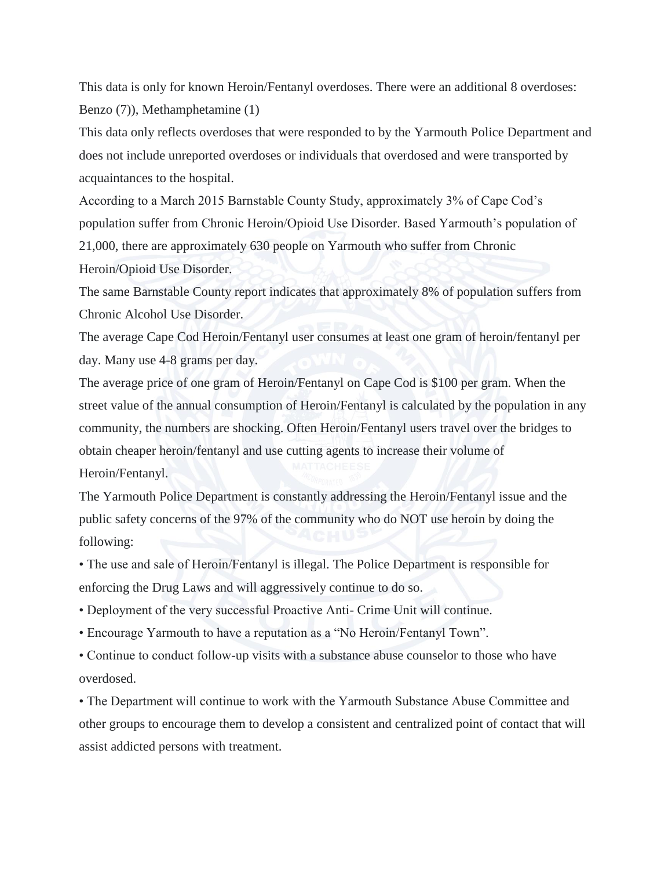This data is only for known Heroin/Fentanyl overdoses. There were an additional 8 overdoses: Benzo (7)), Methamphetamine (1)

This data only reflects overdoses that were responded to by the Yarmouth Police Department and does not include unreported overdoses or individuals that overdosed and were transported by acquaintances to the hospital.

According to a March 2015 Barnstable County Study, approximately 3% of Cape Cod's population suffer from Chronic Heroin/Opioid Use Disorder. Based Yarmouth's population of 21,000, there are approximately 630 people on Yarmouth who suffer from Chronic Heroin/Opioid Use Disorder.

The same Barnstable County report indicates that approximately 8% of population suffers from Chronic Alcohol Use Disorder.

The average Cape Cod Heroin/Fentanyl user consumes at least one gram of heroin/fentanyl per day. Many use 4-8 grams per day.

The average price of one gram of Heroin/Fentanyl on Cape Cod is \$100 per gram. When the street value of the annual consumption of Heroin/Fentanyl is calculated by the population in any community, the numbers are shocking. Often Heroin/Fentanyl users travel over the bridges to obtain cheaper heroin/fentanyl and use cutting agents to increase their volume of Heroin/Fentanyl.

The Yarmouth Police Department is constantly addressing the Heroin/Fentanyl issue and the public safety concerns of the 97% of the community who do NOT use heroin by doing the following:

• The use and sale of Heroin/Fentanyl is illegal. The Police Department is responsible for enforcing the Drug Laws and will aggressively continue to do so.

• Deployment of the very successful Proactive Anti- Crime Unit will continue.

• Encourage Yarmouth to have a reputation as a "No Heroin/Fentanyl Town".

• Continue to conduct follow-up visits with a substance abuse counselor to those who have overdosed.

• The Department will continue to work with the Yarmouth Substance Abuse Committee and other groups to encourage them to develop a consistent and centralized point of contact that will assist addicted persons with treatment.